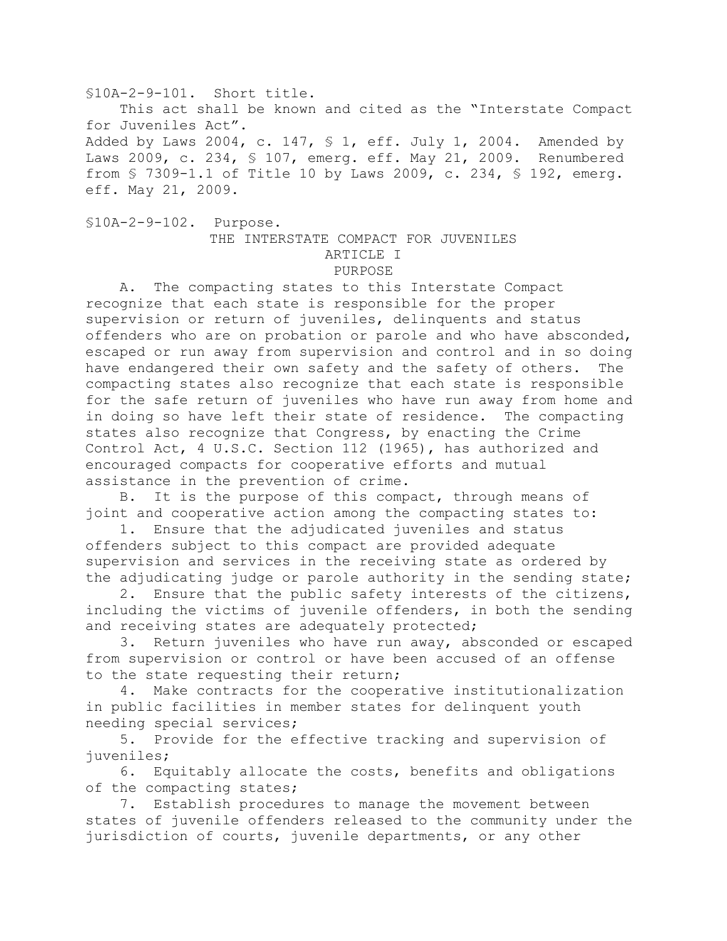§10A-2-9-101. Short title.

This act shall be known and cited as the "Interstate Compact for Juveniles Act".

Added by Laws 2004, c. 147, § 1, eff. July 1, 2004. Amended by Laws 2009, c. 234, § 107, emerg. eff. May 21, 2009. Renumbered from § 7309-1.1 of Title 10 by Laws 2009, c. 234, § 192, emerg. eff. May 21, 2009.

§10A-2-9-102. Purpose. THE INTERSTATE COMPACT FOR JUVENILES ARTICLE I PURPOSE

A. The compacting states to this Interstate Compact recognize that each state is responsible for the proper supervision or return of juveniles, delinquents and status offenders who are on probation or parole and who have absconded, escaped or run away from supervision and control and in so doing have endangered their own safety and the safety of others. The compacting states also recognize that each state is responsible for the safe return of juveniles who have run away from home and in doing so have left their state of residence. The compacting states also recognize that Congress, by enacting the Crime Control Act, 4 U.S.C. Section 112 (1965), has authorized and encouraged compacts for cooperative efforts and mutual assistance in the prevention of crime.

B. It is the purpose of this compact, through means of joint and cooperative action among the compacting states to:

1. Ensure that the adjudicated juveniles and status offenders subject to this compact are provided adequate supervision and services in the receiving state as ordered by the adjudicating judge or parole authority in the sending state;

2. Ensure that the public safety interests of the citizens, including the victims of juvenile offenders, in both the sending and receiving states are adequately protected;

3. Return juveniles who have run away, absconded or escaped from supervision or control or have been accused of an offense to the state requesting their return;

4. Make contracts for the cooperative institutionalization in public facilities in member states for delinquent youth needing special services;

5. Provide for the effective tracking and supervision of juveniles;

6. Equitably allocate the costs, benefits and obligations of the compacting states;

7. Establish procedures to manage the movement between states of juvenile offenders released to the community under the jurisdiction of courts, juvenile departments, or any other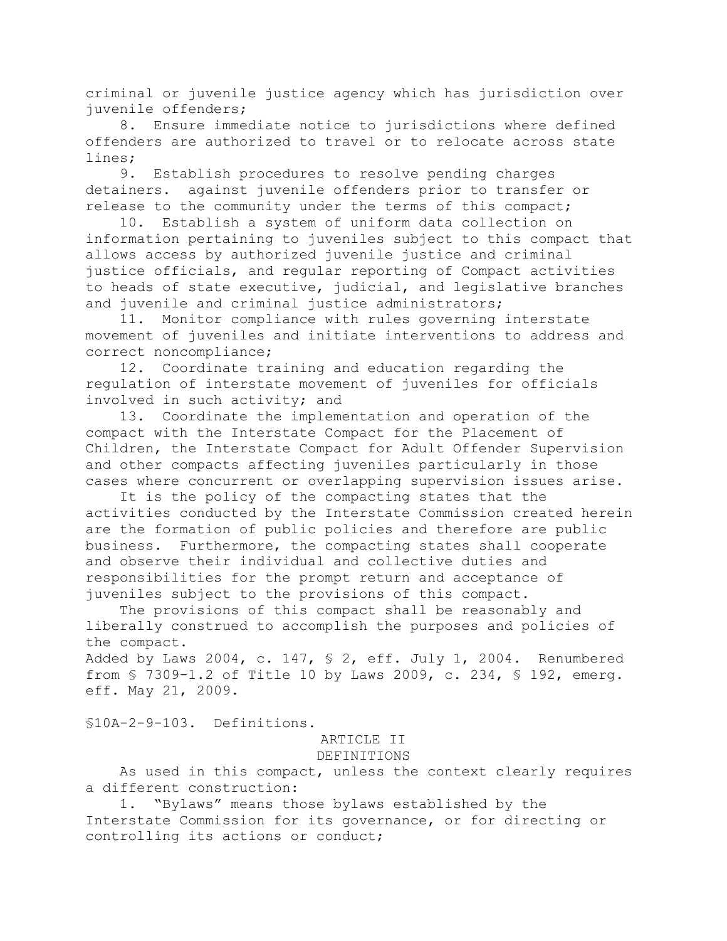criminal or juvenile justice agency which has jurisdiction over juvenile offenders;

8. Ensure immediate notice to jurisdictions where defined offenders are authorized to travel or to relocate across state lines;

9. Establish procedures to resolve pending charges detainers. against juvenile offenders prior to transfer or release to the community under the terms of this compact;

10. Establish a system of uniform data collection on information pertaining to juveniles subject to this compact that allows access by authorized juvenile justice and criminal justice officials, and regular reporting of Compact activities to heads of state executive, judicial, and legislative branches and juvenile and criminal justice administrators;

11. Monitor compliance with rules governing interstate movement of juveniles and initiate interventions to address and correct noncompliance;

12. Coordinate training and education regarding the regulation of interstate movement of juveniles for officials involved in such activity; and

13. Coordinate the implementation and operation of the compact with the Interstate Compact for the Placement of Children, the Interstate Compact for Adult Offender Supervision and other compacts affecting juveniles particularly in those cases where concurrent or overlapping supervision issues arise.

It is the policy of the compacting states that the activities conducted by the Interstate Commission created herein are the formation of public policies and therefore are public business. Furthermore, the compacting states shall cooperate and observe their individual and collective duties and responsibilities for the prompt return and acceptance of juveniles subject to the provisions of this compact.

The provisions of this compact shall be reasonably and liberally construed to accomplish the purposes and policies of the compact.

Added by Laws 2004, c. 147, § 2, eff. July 1, 2004. Renumbered from § 7309-1.2 of Title 10 by Laws 2009, c. 234, § 192, emerg. eff. May 21, 2009.

§10A-2-9-103. Definitions.

#### ARTICLE II

#### DEFINITIONS

As used in this compact, unless the context clearly requires a different construction:

1. "Bylaws" means those bylaws established by the Interstate Commission for its governance, or for directing or controlling its actions or conduct;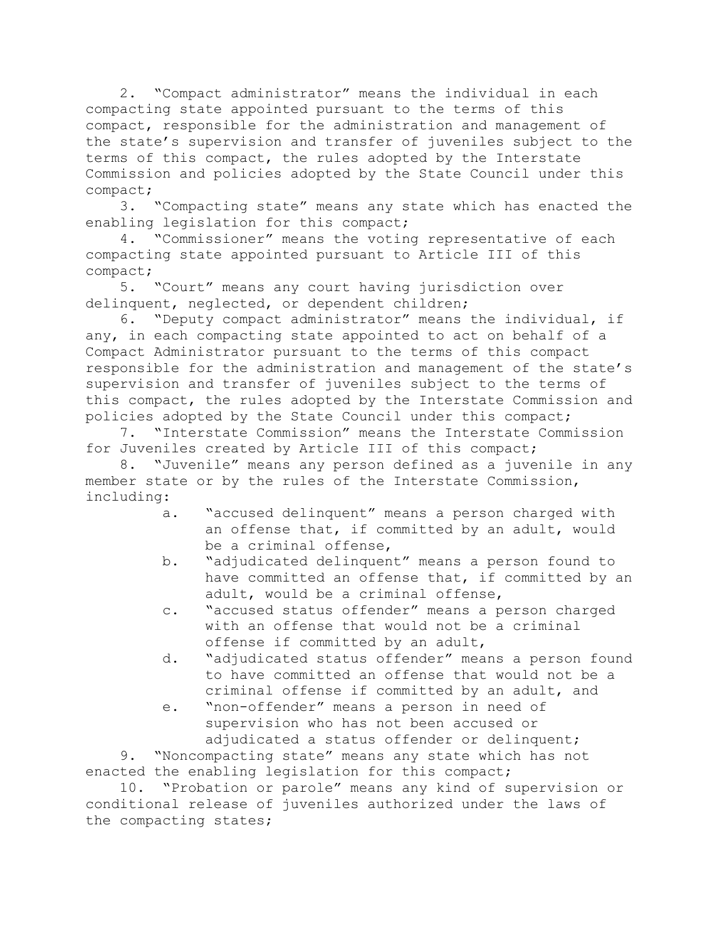2. "Compact administrator" means the individual in each compacting state appointed pursuant to the terms of this compact, responsible for the administration and management of the state's supervision and transfer of juveniles subject to the terms of this compact, the rules adopted by the Interstate Commission and policies adopted by the State Council under this compact;

3. "Compacting state" means any state which has enacted the enabling legislation for this compact;

4. "Commissioner" means the voting representative of each compacting state appointed pursuant to Article III of this compact;

5. "Court" means any court having jurisdiction over delinquent, neglected, or dependent children;

6. "Deputy compact administrator" means the individual, if any, in each compacting state appointed to act on behalf of a Compact Administrator pursuant to the terms of this compact responsible for the administration and management of the state's supervision and transfer of juveniles subject to the terms of this compact, the rules adopted by the Interstate Commission and policies adopted by the State Council under this compact;

7. "Interstate Commission" means the Interstate Commission for Juveniles created by Article III of this compact;

8. "Juvenile" means any person defined as a juvenile in any member state or by the rules of the Interstate Commission, including:

- a. "accused delinquent" means a person charged with an offense that, if committed by an adult, would be a criminal offense,
- b. "adjudicated delinquent" means a person found to have committed an offense that, if committed by an adult, would be a criminal offense,
- c. "accused status offender" means a person charged with an offense that would not be a criminal offense if committed by an adult,
- d. "adjudicated status offender" means a person found to have committed an offense that would not be a criminal offense if committed by an adult, and
- e. "non-offender" means a person in need of supervision who has not been accused or adjudicated a status offender or delinquent;

9. "Noncompacting state" means any state which has not enacted the enabling legislation for this compact;

10. "Probation or parole" means any kind of supervision or conditional release of juveniles authorized under the laws of the compacting states;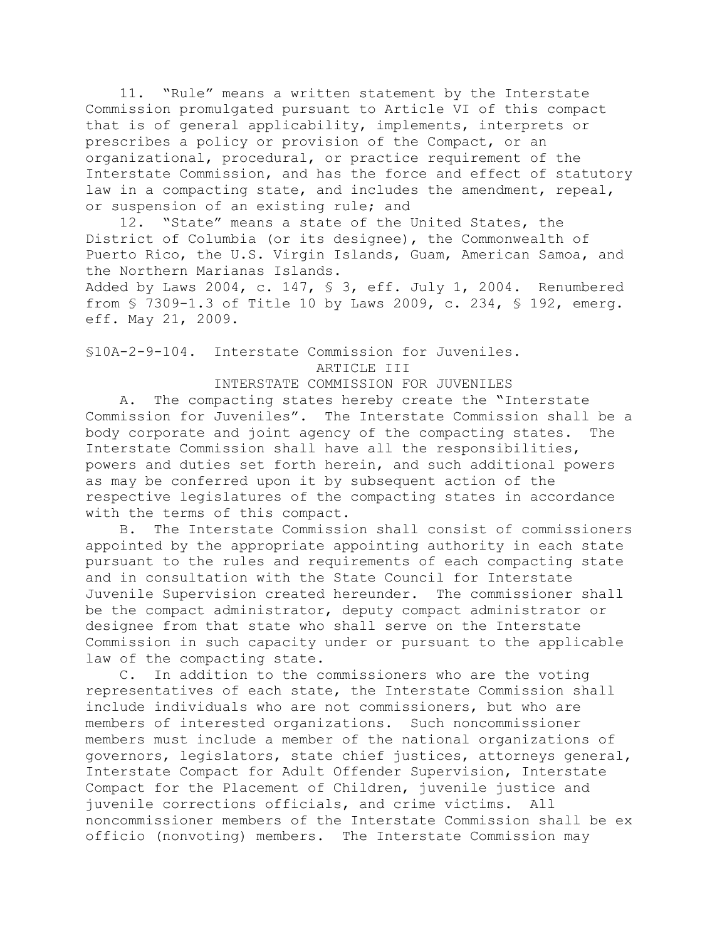11. "Rule" means a written statement by the Interstate Commission promulgated pursuant to Article VI of this compact that is of general applicability, implements, interprets or prescribes a policy or provision of the Compact, or an organizational, procedural, or practice requirement of the Interstate Commission, and has the force and effect of statutory law in a compacting state, and includes the amendment, repeal, or suspension of an existing rule; and

12. "State" means a state of the United States, the District of Columbia (or its designee), the Commonwealth of Puerto Rico, the U.S. Virgin Islands, Guam, American Samoa, and the Northern Marianas Islands.

Added by Laws 2004, c. 147, § 3, eff. July 1, 2004. Renumbered from § 7309-1.3 of Title 10 by Laws 2009, c. 234, § 192, emerg. eff. May 21, 2009.

## §10A-2-9-104. Interstate Commission for Juveniles. ARTICLE III INTERSTATE COMMISSION FOR JUVENILES

A. The compacting states hereby create the "Interstate Commission for Juveniles". The Interstate Commission shall be a body corporate and joint agency of the compacting states. The Interstate Commission shall have all the responsibilities, powers and duties set forth herein, and such additional powers as may be conferred upon it by subsequent action of the respective legislatures of the compacting states in accordance with the terms of this compact.

B. The Interstate Commission shall consist of commissioners appointed by the appropriate appointing authority in each state pursuant to the rules and requirements of each compacting state and in consultation with the State Council for Interstate Juvenile Supervision created hereunder. The commissioner shall be the compact administrator, deputy compact administrator or designee from that state who shall serve on the Interstate Commission in such capacity under or pursuant to the applicable law of the compacting state.

C. In addition to the commissioners who are the voting representatives of each state, the Interstate Commission shall include individuals who are not commissioners, but who are members of interested organizations. Such noncommissioner members must include a member of the national organizations of governors, legislators, state chief justices, attorneys general, Interstate Compact for Adult Offender Supervision, Interstate Compact for the Placement of Children, juvenile justice and juvenile corrections officials, and crime victims. All noncommissioner members of the Interstate Commission shall be ex officio (nonvoting) members. The Interstate Commission may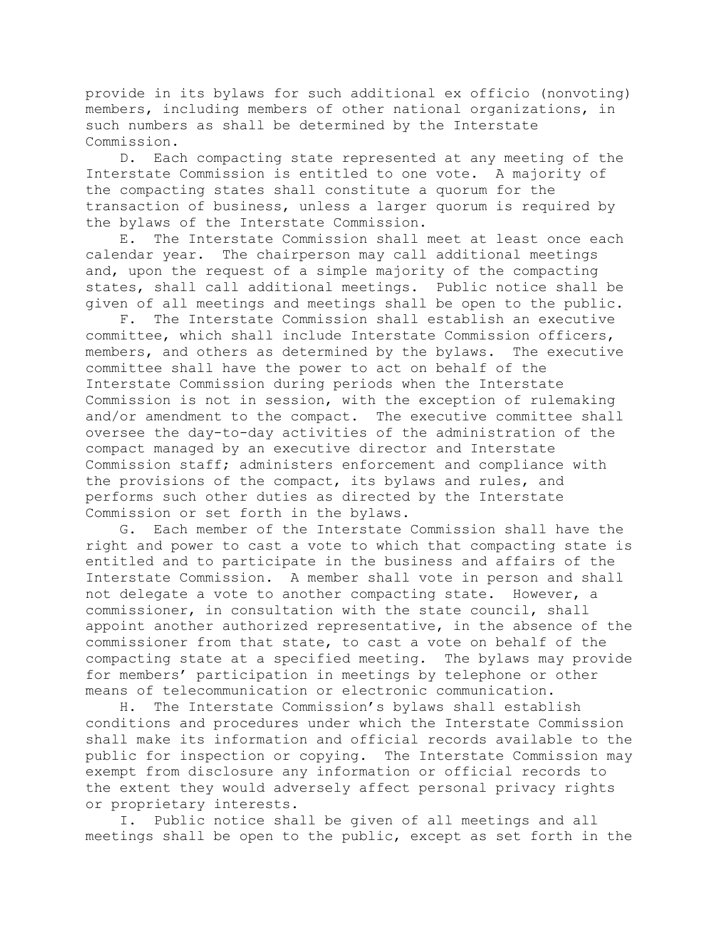provide in its bylaws for such additional ex officio (nonvoting) members, including members of other national organizations, in such numbers as shall be determined by the Interstate Commission.

D. Each compacting state represented at any meeting of the Interstate Commission is entitled to one vote. A majority of the compacting states shall constitute a quorum for the transaction of business, unless a larger quorum is required by the bylaws of the Interstate Commission.

E. The Interstate Commission shall meet at least once each calendar year. The chairperson may call additional meetings and, upon the request of a simple majority of the compacting states, shall call additional meetings. Public notice shall be given of all meetings and meetings shall be open to the public.

F. The Interstate Commission shall establish an executive committee, which shall include Interstate Commission officers, members, and others as determined by the bylaws. The executive committee shall have the power to act on behalf of the Interstate Commission during periods when the Interstate Commission is not in session, with the exception of rulemaking and/or amendment to the compact. The executive committee shall oversee the day-to-day activities of the administration of the compact managed by an executive director and Interstate Commission staff; administers enforcement and compliance with the provisions of the compact, its bylaws and rules, and performs such other duties as directed by the Interstate Commission or set forth in the bylaws.

G. Each member of the Interstate Commission shall have the right and power to cast a vote to which that compacting state is entitled and to participate in the business and affairs of the Interstate Commission. A member shall vote in person and shall not delegate a vote to another compacting state. However, a commissioner, in consultation with the state council, shall appoint another authorized representative, in the absence of the commissioner from that state, to cast a vote on behalf of the compacting state at a specified meeting. The bylaws may provide for members' participation in meetings by telephone or other means of telecommunication or electronic communication.

H. The Interstate Commission's bylaws shall establish conditions and procedures under which the Interstate Commission shall make its information and official records available to the public for inspection or copying. The Interstate Commission may exempt from disclosure any information or official records to the extent they would adversely affect personal privacy rights or proprietary interests.

I. Public notice shall be given of all meetings and all meetings shall be open to the public, except as set forth in the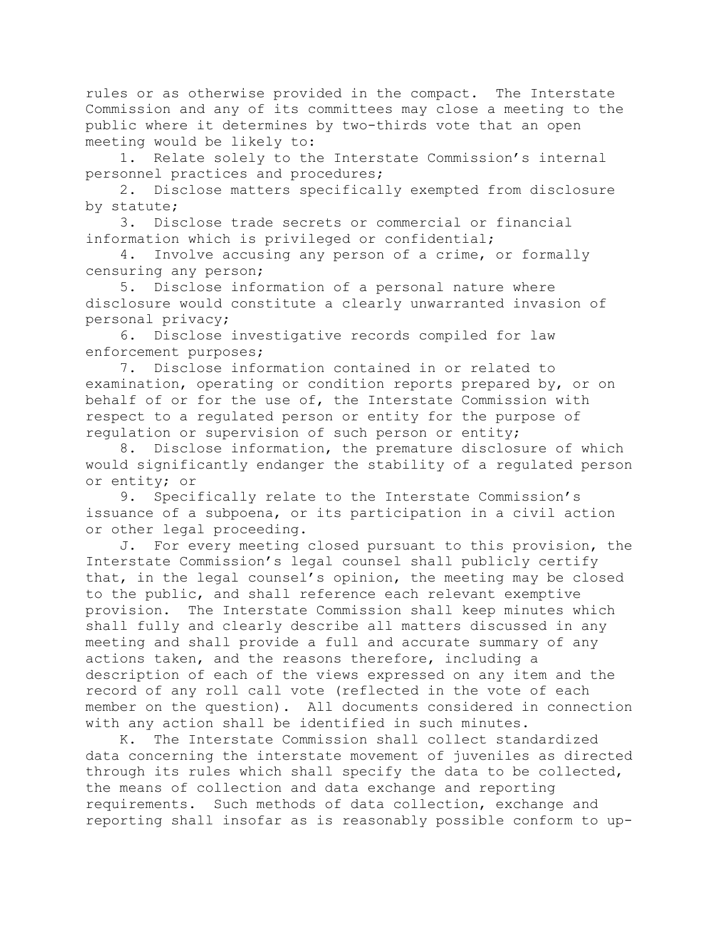rules or as otherwise provided in the compact. The Interstate Commission and any of its committees may close a meeting to the public where it determines by two-thirds vote that an open meeting would be likely to:

1. Relate solely to the Interstate Commission's internal personnel practices and procedures;

2. Disclose matters specifically exempted from disclosure by statute;

3. Disclose trade secrets or commercial or financial information which is privileged or confidential;

4. Involve accusing any person of a crime, or formally censuring any person;

5. Disclose information of a personal nature where disclosure would constitute a clearly unwarranted invasion of personal privacy;

6. Disclose investigative records compiled for law enforcement purposes;

7. Disclose information contained in or related to examination, operating or condition reports prepared by, or on behalf of or for the use of, the Interstate Commission with respect to a regulated person or entity for the purpose of regulation or supervision of such person or entity;

8. Disclose information, the premature disclosure of which would significantly endanger the stability of a regulated person or entity; or

9. Specifically relate to the Interstate Commission's issuance of a subpoena, or its participation in a civil action or other legal proceeding.

J. For every meeting closed pursuant to this provision, the Interstate Commission's legal counsel shall publicly certify that, in the legal counsel's opinion, the meeting may be closed to the public, and shall reference each relevant exemptive provision. The Interstate Commission shall keep minutes which shall fully and clearly describe all matters discussed in any meeting and shall provide a full and accurate summary of any actions taken, and the reasons therefore, including a description of each of the views expressed on any item and the record of any roll call vote (reflected in the vote of each member on the question). All documents considered in connection with any action shall be identified in such minutes.

K. The Interstate Commission shall collect standardized data concerning the interstate movement of juveniles as directed through its rules which shall specify the data to be collected, the means of collection and data exchange and reporting requirements. Such methods of data collection, exchange and reporting shall insofar as is reasonably possible conform to up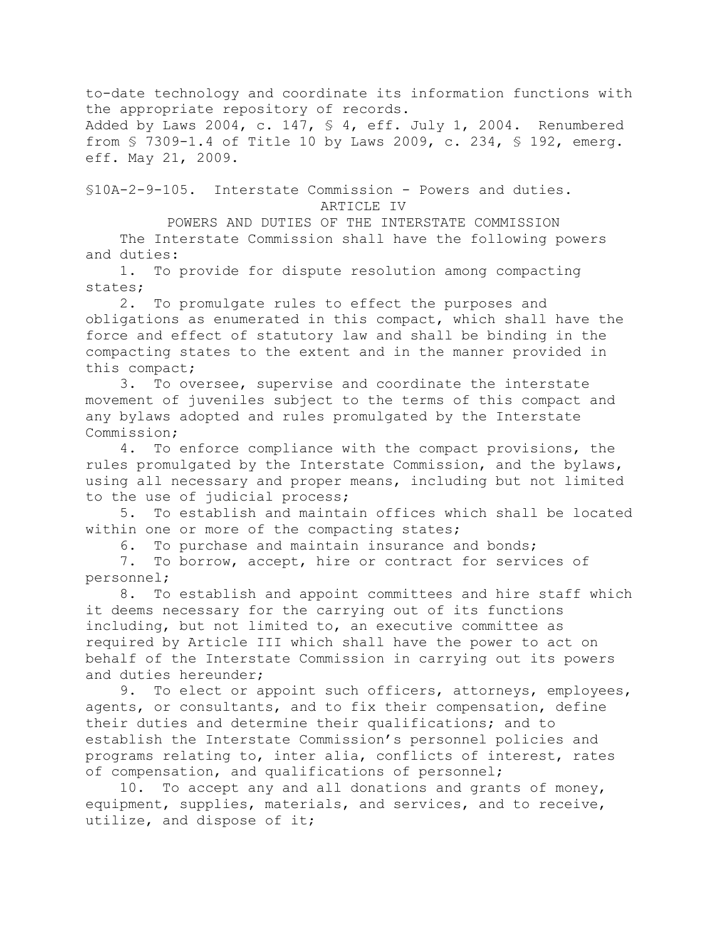to-date technology and coordinate its information functions with the appropriate repository of records. Added by Laws 2004, c. 147,  $\frac{1}{2}$  4, eff. July 1, 2004. Renumbered from § 7309-1.4 of Title 10 by Laws 2009, c. 234, § 192, emerg. eff. May 21, 2009.

§10A-2-9-105. Interstate Commission - Powers and duties. ARTICLE IV

POWERS AND DUTIES OF THE INTERSTATE COMMISSION

The Interstate Commission shall have the following powers and duties:

1. To provide for dispute resolution among compacting states;

2. To promulgate rules to effect the purposes and obligations as enumerated in this compact, which shall have the force and effect of statutory law and shall be binding in the compacting states to the extent and in the manner provided in this compact;

3. To oversee, supervise and coordinate the interstate movement of juveniles subject to the terms of this compact and any bylaws adopted and rules promulgated by the Interstate Commission;

4. To enforce compliance with the compact provisions, the rules promulgated by the Interstate Commission, and the bylaws, using all necessary and proper means, including but not limited to the use of judicial process;

5. To establish and maintain offices which shall be located within one or more of the compacting states;

6. To purchase and maintain insurance and bonds;

7. To borrow, accept, hire or contract for services of personnel;

8. To establish and appoint committees and hire staff which it deems necessary for the carrying out of its functions including, but not limited to, an executive committee as required by Article III which shall have the power to act on behalf of the Interstate Commission in carrying out its powers and duties hereunder;

9. To elect or appoint such officers, attorneys, employees, agents, or consultants, and to fix their compensation, define their duties and determine their qualifications; and to establish the Interstate Commission's personnel policies and programs relating to, inter alia, conflicts of interest, rates of compensation, and qualifications of personnel;

10. To accept any and all donations and grants of money, equipment, supplies, materials, and services, and to receive, utilize, and dispose of it;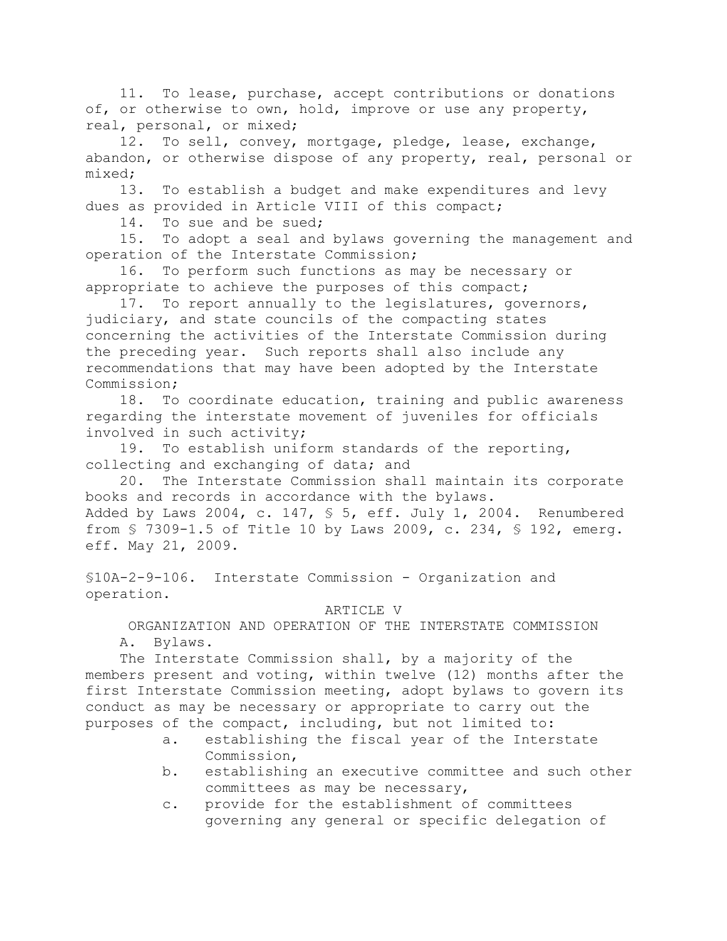11. To lease, purchase, accept contributions or donations of, or otherwise to own, hold, improve or use any property, real, personal, or mixed;

12. To sell, convey, mortgage, pledge, lease, exchange, abandon, or otherwise dispose of any property, real, personal or mixed;

13. To establish a budget and make expenditures and levy dues as provided in Article VIII of this compact;

14. To sue and be sued;

15. To adopt a seal and bylaws governing the management and operation of the Interstate Commission;

16. To perform such functions as may be necessary or appropriate to achieve the purposes of this compact;

17. To report annually to the legislatures, governors, judiciary, and state councils of the compacting states concerning the activities of the Interstate Commission during the preceding year. Such reports shall also include any recommendations that may have been adopted by the Interstate Commission;

18. To coordinate education, training and public awareness regarding the interstate movement of juveniles for officials involved in such activity;

19. To establish uniform standards of the reporting, collecting and exchanging of data; and

20. The Interstate Commission shall maintain its corporate books and records in accordance with the bylaws. Added by Laws 2004, c. 147, § 5, eff. July 1, 2004. Renumbered from § 7309-1.5 of Title 10 by Laws 2009, c. 234, § 192, emerg.

eff. May 21, 2009.

§10A-2-9-106. Interstate Commission - Organization and operation.

#### ARTICLE V

ORGANIZATION AND OPERATION OF THE INTERSTATE COMMISSION A. Bylaws.

The Interstate Commission shall, by a majority of the members present and voting, within twelve (12) months after the first Interstate Commission meeting, adopt bylaws to govern its conduct as may be necessary or appropriate to carry out the purposes of the compact, including, but not limited to:

- a. establishing the fiscal year of the Interstate Commission,
- b. establishing an executive committee and such other committees as may be necessary,
- c. provide for the establishment of committees governing any general or specific delegation of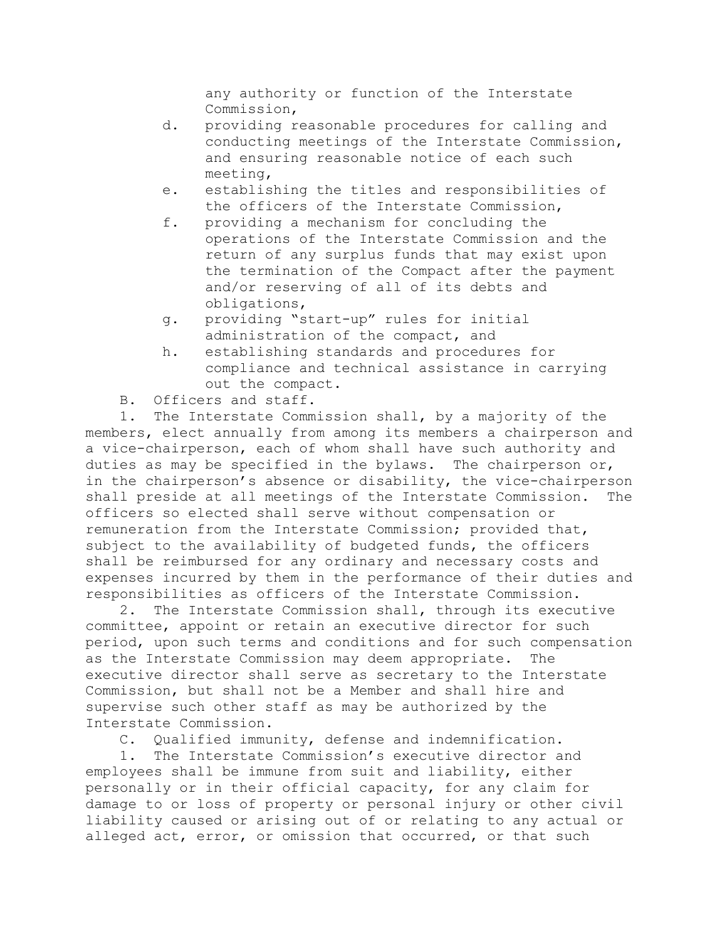any authority or function of the Interstate Commission,

- d. providing reasonable procedures for calling and conducting meetings of the Interstate Commission, and ensuring reasonable notice of each such meeting,
- e. establishing the titles and responsibilities of the officers of the Interstate Commission,
- f. providing a mechanism for concluding the operations of the Interstate Commission and the return of any surplus funds that may exist upon the termination of the Compact after the payment and/or reserving of all of its debts and obligations,
- g. providing "start-up" rules for initial administration of the compact, and
- h. establishing standards and procedures for compliance and technical assistance in carrying out the compact.
- B. Officers and staff.

1. The Interstate Commission shall, by a majority of the members, elect annually from among its members a chairperson and a vice-chairperson, each of whom shall have such authority and duties as may be specified in the bylaws. The chairperson or, in the chairperson's absence or disability, the vice-chairperson shall preside at all meetings of the Interstate Commission. The officers so elected shall serve without compensation or remuneration from the Interstate Commission; provided that, subject to the availability of budgeted funds, the officers shall be reimbursed for any ordinary and necessary costs and expenses incurred by them in the performance of their duties and responsibilities as officers of the Interstate Commission.

2. The Interstate Commission shall, through its executive committee, appoint or retain an executive director for such period, upon such terms and conditions and for such compensation as the Interstate Commission may deem appropriate. The executive director shall serve as secretary to the Interstate Commission, but shall not be a Member and shall hire and supervise such other staff as may be authorized by the Interstate Commission.

C. Qualified immunity, defense and indemnification.

1. The Interstate Commission's executive director and employees shall be immune from suit and liability, either personally or in their official capacity, for any claim for damage to or loss of property or personal injury or other civil liability caused or arising out of or relating to any actual or alleged act, error, or omission that occurred, or that such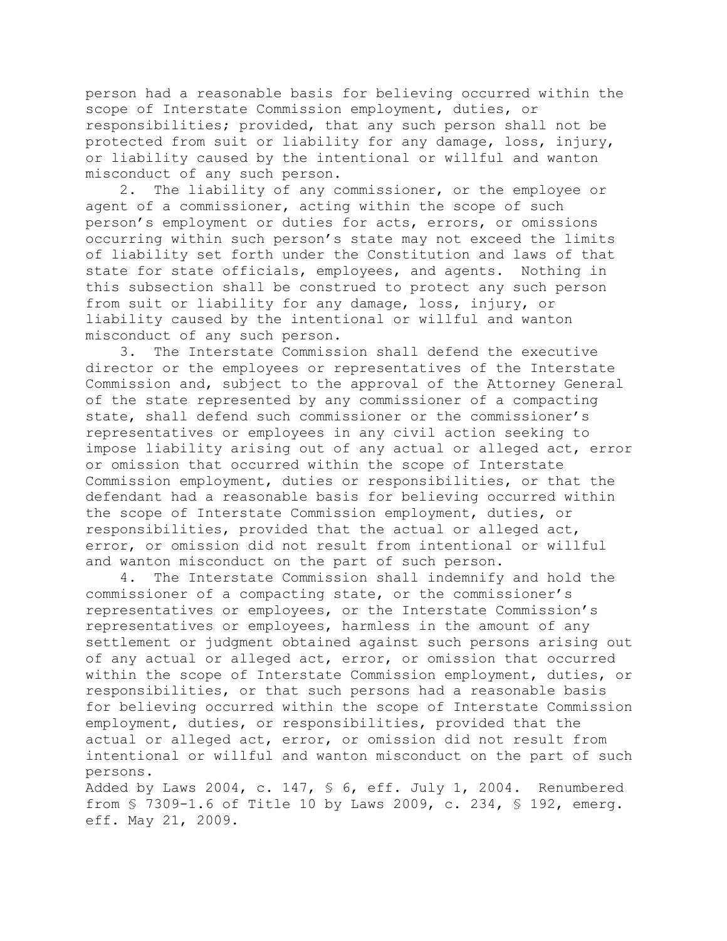person had a reasonable basis for believing occurred within the scope of Interstate Commission employment, duties, or responsibilities; provided, that any such person shall not be protected from suit or liability for any damage, loss, injury, or liability caused by the intentional or willful and wanton misconduct of any such person.

2. The liability of any commissioner, or the employee or agent of a commissioner, acting within the scope of such person's employment or duties for acts, errors, or omissions occurring within such person's state may not exceed the limits of liability set forth under the Constitution and laws of that state for state officials, employees, and agents. Nothing in this subsection shall be construed to protect any such person from suit or liability for any damage, loss, injury, or liability caused by the intentional or willful and wanton misconduct of any such person.

3. The Interstate Commission shall defend the executive director or the employees or representatives of the Interstate Commission and, subject to the approval of the Attorney General of the state represented by any commissioner of a compacting state, shall defend such commissioner or the commissioner's representatives or employees in any civil action seeking to impose liability arising out of any actual or alleged act, error or omission that occurred within the scope of Interstate Commission employment, duties or responsibilities, or that the defendant had a reasonable basis for believing occurred within the scope of Interstate Commission employment, duties, or responsibilities, provided that the actual or alleged act, error, or omission did not result from intentional or willful and wanton misconduct on the part of such person.

4. The Interstate Commission shall indemnify and hold the commissioner of a compacting state, or the commissioner's representatives or employees, or the Interstate Commission's representatives or employees, harmless in the amount of any settlement or judgment obtained against such persons arising out of any actual or alleged act, error, or omission that occurred within the scope of Interstate Commission employment, duties, or responsibilities, or that such persons had a reasonable basis for believing occurred within the scope of Interstate Commission employment, duties, or responsibilities, provided that the actual or alleged act, error, or omission did not result from intentional or willful and wanton misconduct on the part of such persons.

Added by Laws 2004, c. 147, § 6, eff. July 1, 2004. Renumbered from § 7309-1.6 of Title 10 by Laws 2009, c. 234, § 192, emerg. eff. May 21, 2009.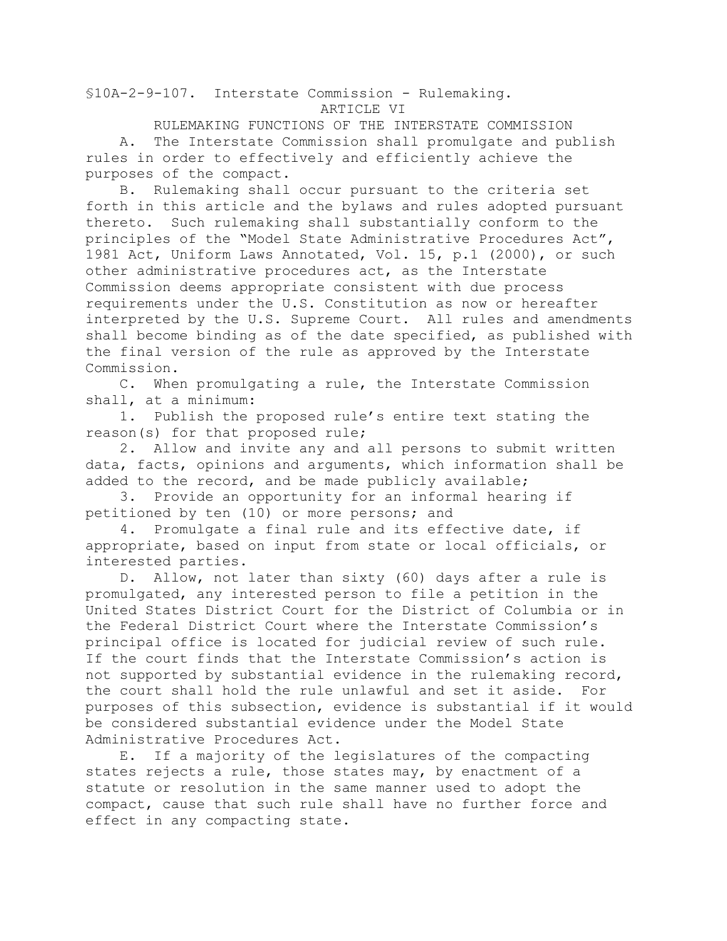## §10A-2-9-107. Interstate Commission - Rulemaking. ARTICLE VI

RULEMAKING FUNCTIONS OF THE INTERSTATE COMMISSION A. The Interstate Commission shall promulgate and publish rules in order to effectively and efficiently achieve the purposes of the compact.

B. Rulemaking shall occur pursuant to the criteria set forth in this article and the bylaws and rules adopted pursuant thereto. Such rulemaking shall substantially conform to the principles of the "Model State Administrative Procedures Act", 1981 Act, Uniform Laws Annotated, Vol. 15, p.1 (2000), or such other administrative procedures act, as the Interstate Commission deems appropriate consistent with due process requirements under the U.S. Constitution as now or hereafter interpreted by the U.S. Supreme Court. All rules and amendments shall become binding as of the date specified, as published with the final version of the rule as approved by the Interstate Commission.

C. When promulgating a rule, the Interstate Commission shall, at a minimum:

1. Publish the proposed rule's entire text stating the reason(s) for that proposed rule;

2. Allow and invite any and all persons to submit written data, facts, opinions and arguments, which information shall be added to the record, and be made publicly available;

3. Provide an opportunity for an informal hearing if petitioned by ten (10) or more persons; and

4. Promulgate a final rule and its effective date, if appropriate, based on input from state or local officials, or interested parties.

D. Allow, not later than sixty (60) days after a rule is promulgated, any interested person to file a petition in the United States District Court for the District of Columbia or in the Federal District Court where the Interstate Commission's principal office is located for judicial review of such rule. If the court finds that the Interstate Commission's action is not supported by substantial evidence in the rulemaking record, the court shall hold the rule unlawful and set it aside. For purposes of this subsection, evidence is substantial if it would be considered substantial evidence under the Model State Administrative Procedures Act.

E. If a majority of the legislatures of the compacting states rejects a rule, those states may, by enactment of a statute or resolution in the same manner used to adopt the compact, cause that such rule shall have no further force and effect in any compacting state.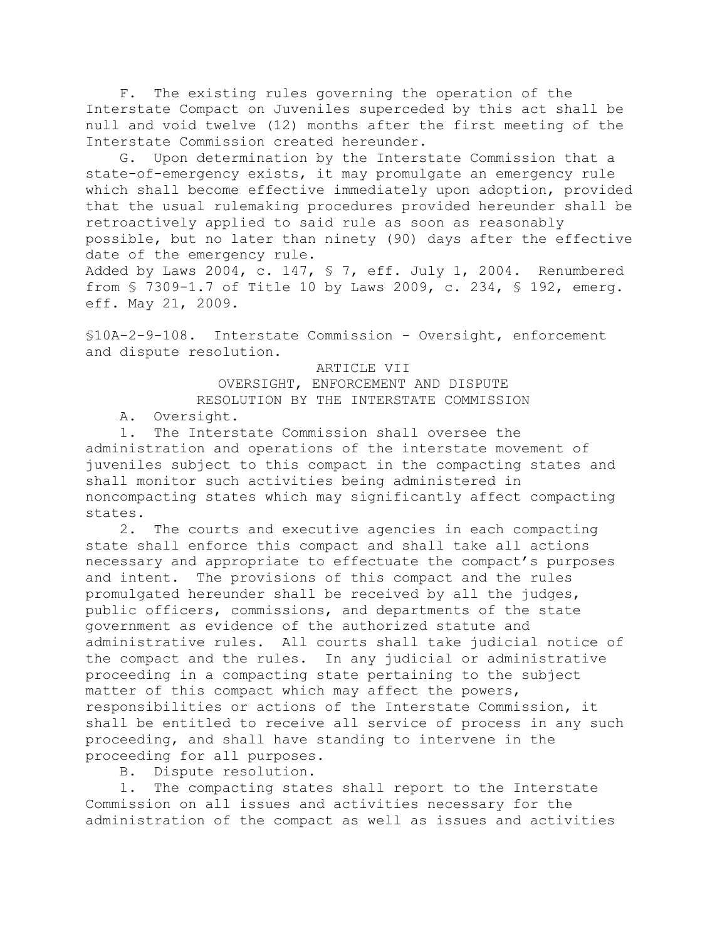F. The existing rules governing the operation of the Interstate Compact on Juveniles superceded by this act shall be null and void twelve (12) months after the first meeting of the Interstate Commission created hereunder.

G. Upon determination by the Interstate Commission that a state-of-emergency exists, it may promulgate an emergency rule which shall become effective immediately upon adoption, provided that the usual rulemaking procedures provided hereunder shall be retroactively applied to said rule as soon as reasonably possible, but no later than ninety (90) days after the effective date of the emergency rule.

Added by Laws 2004, c. 147, § 7, eff. July 1, 2004. Renumbered from § 7309-1.7 of Title 10 by Laws 2009, c. 234, § 192, emerg. eff. May 21, 2009.

§10A-2-9-108. Interstate Commission - Oversight, enforcement and dispute resolution.

ARTICLE VII

OVERSIGHT, ENFORCEMENT AND DISPUTE

RESOLUTION BY THE INTERSTATE COMMISSION

A. Oversight.

1. The Interstate Commission shall oversee the administration and operations of the interstate movement of juveniles subject to this compact in the compacting states and shall monitor such activities being administered in noncompacting states which may significantly affect compacting states.

2. The courts and executive agencies in each compacting state shall enforce this compact and shall take all actions necessary and appropriate to effectuate the compact's purposes and intent. The provisions of this compact and the rules promulgated hereunder shall be received by all the judges, public officers, commissions, and departments of the state government as evidence of the authorized statute and administrative rules. All courts shall take judicial notice of the compact and the rules. In any judicial or administrative proceeding in a compacting state pertaining to the subject matter of this compact which may affect the powers, responsibilities or actions of the Interstate Commission, it shall be entitled to receive all service of process in any such proceeding, and shall have standing to intervene in the proceeding for all purposes.

B. Dispute resolution.

1. The compacting states shall report to the Interstate Commission on all issues and activities necessary for the administration of the compact as well as issues and activities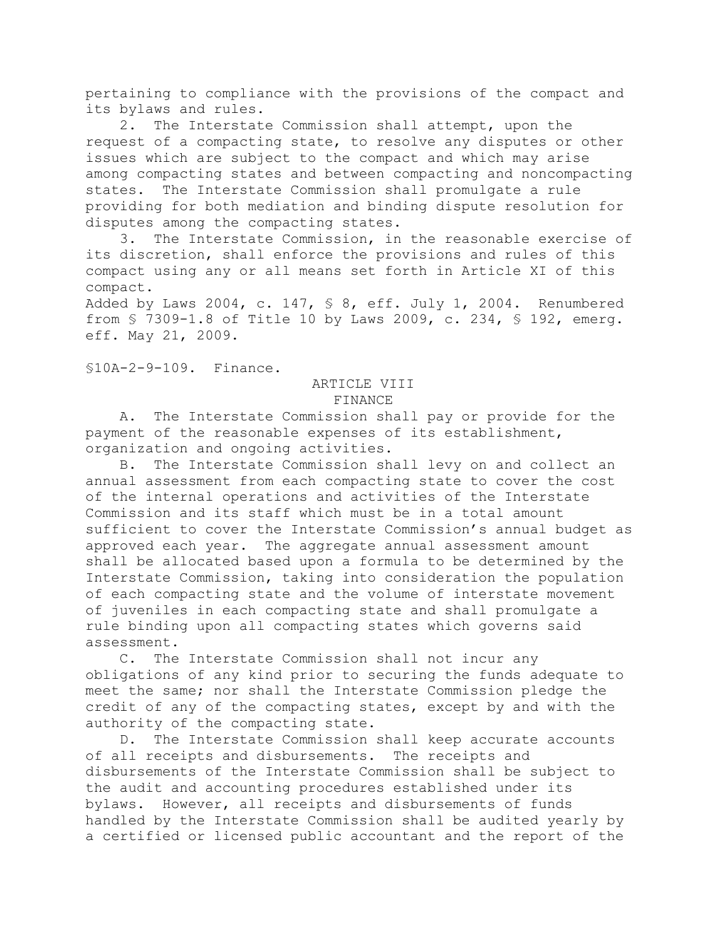pertaining to compliance with the provisions of the compact and its bylaws and rules.

2. The Interstate Commission shall attempt, upon the request of a compacting state, to resolve any disputes or other issues which are subject to the compact and which may arise among compacting states and between compacting and noncompacting states. The Interstate Commission shall promulgate a rule providing for both mediation and binding dispute resolution for disputes among the compacting states.

3. The Interstate Commission, in the reasonable exercise of its discretion, shall enforce the provisions and rules of this compact using any or all means set forth in Article XI of this compact.

Added by Laws 2004, c. 147, § 8, eff. July 1, 2004. Renumbered from § 7309-1.8 of Title 10 by Laws 2009, c. 234, § 192, emerg. eff. May 21, 2009.

§10A-2-9-109. Finance.

#### ARTICLE VIII

#### FINANCE

A. The Interstate Commission shall pay or provide for the payment of the reasonable expenses of its establishment, organization and ongoing activities.

B. The Interstate Commission shall levy on and collect an annual assessment from each compacting state to cover the cost of the internal operations and activities of the Interstate Commission and its staff which must be in a total amount sufficient to cover the Interstate Commission's annual budget as approved each year. The aggregate annual assessment amount shall be allocated based upon a formula to be determined by the Interstate Commission, taking into consideration the population of each compacting state and the volume of interstate movement of juveniles in each compacting state and shall promulgate a rule binding upon all compacting states which governs said assessment.

C. The Interstate Commission shall not incur any obligations of any kind prior to securing the funds adequate to meet the same; nor shall the Interstate Commission pledge the credit of any of the compacting states, except by and with the authority of the compacting state.

D. The Interstate Commission shall keep accurate accounts of all receipts and disbursements. The receipts and disbursements of the Interstate Commission shall be subject to the audit and accounting procedures established under its bylaws. However, all receipts and disbursements of funds handled by the Interstate Commission shall be audited yearly by a certified or licensed public accountant and the report of the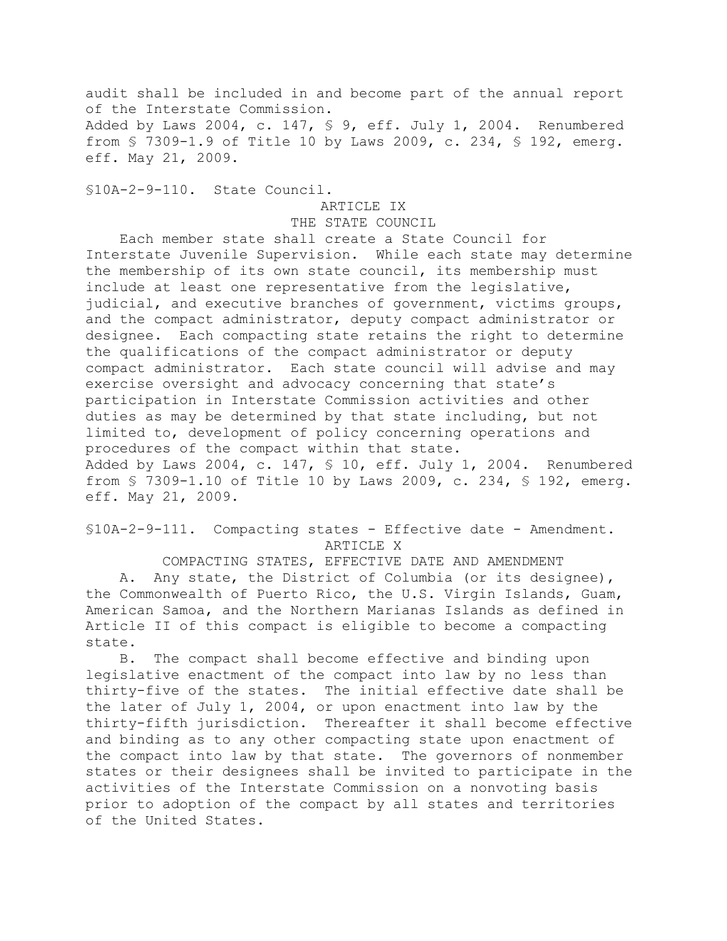audit shall be included in and become part of the annual report of the Interstate Commission. Added by Laws 2004, c. 147, § 9, eff. July 1, 2004. Renumbered from § 7309-1.9 of Title 10 by Laws 2009, c. 234, § 192, emerg. eff. May 21, 2009.

§10A-2-9-110. State Council.

# ARTICLE IX

THE STATE COUNCIL

Each member state shall create a State Council for Interstate Juvenile Supervision. While each state may determine the membership of its own state council, its membership must include at least one representative from the legislative, judicial, and executive branches of government, victims groups, and the compact administrator, deputy compact administrator or designee. Each compacting state retains the right to determine the qualifications of the compact administrator or deputy compact administrator. Each state council will advise and may exercise oversight and advocacy concerning that state's participation in Interstate Commission activities and other duties as may be determined by that state including, but not limited to, development of policy concerning operations and procedures of the compact within that state. Added by Laws 2004, c. 147, § 10, eff. July 1, 2004. Renumbered from § 7309-1.10 of Title 10 by Laws 2009, c. 234, § 192, emerg. eff. May 21, 2009.

## §10A-2-9-111. Compacting states - Effective date - Amendment. ARTICLE X

COMPACTING STATES, EFFECTIVE DATE AND AMENDMENT A. Any state, the District of Columbia (or its designee), the Commonwealth of Puerto Rico, the U.S. Virgin Islands, Guam, American Samoa, and the Northern Marianas Islands as defined in Article II of this compact is eligible to become a compacting state.

B. The compact shall become effective and binding upon legislative enactment of the compact into law by no less than thirty-five of the states. The initial effective date shall be the later of July 1, 2004, or upon enactment into law by the thirty-fifth jurisdiction. Thereafter it shall become effective and binding as to any other compacting state upon enactment of the compact into law by that state. The governors of nonmember states or their designees shall be invited to participate in the activities of the Interstate Commission on a nonvoting basis prior to adoption of the compact by all states and territories of the United States.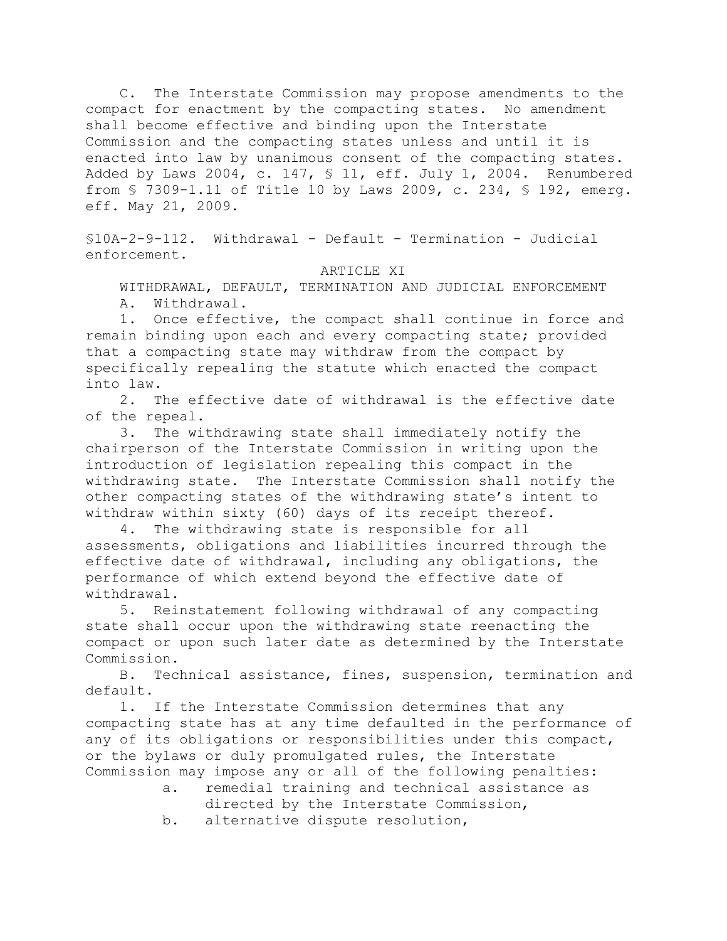C. The Interstate Commission may propose amendments to the compact for enactment by the compacting states. No amendment shall become effective and binding upon the Interstate Commission and the compacting states unless and until it is enacted into law by unanimous consent of the compacting states. Added by Laws 2004, c. 147, § 11, eff. July 1, 2004. Renumbered from § 7309-1.11 of Title 10 by Laws 2009, c. 234, § 192, emerg. eff. May 21, 2009.

§10A-2-9-112. Withdrawal - Default - Termination - Judicial enforcement.

#### ARTICLE XI

WITHDRAWAL, DEFAULT, TERMINATION AND JUDICIAL ENFORCEMENT A. Withdrawal.

1. Once effective, the compact shall continue in force and remain binding upon each and every compacting state; provided that a compacting state may withdraw from the compact by specifically repealing the statute which enacted the compact into law.

2. The effective date of withdrawal is the effective date of the repeal.

3. The withdrawing state shall immediately notify the chairperson of the Interstate Commission in writing upon the introduction of legislation repealing this compact in the withdrawing state. The Interstate Commission shall notify the other compacting states of the withdrawing state's intent to withdraw within sixty (60) days of its receipt thereof.

4. The withdrawing state is responsible for all assessments, obligations and liabilities incurred through the effective date of withdrawal, including any obligations, the performance of which extend beyond the effective date of withdrawal.

5. Reinstatement following withdrawal of any compacting state shall occur upon the withdrawing state reenacting the compact or upon such later date as determined by the Interstate Commission.

B. Technical assistance, fines, suspension, termination and default.

1. If the Interstate Commission determines that any compacting state has at any time defaulted in the performance of any of its obligations or responsibilities under this compact, or the bylaws or duly promulgated rules, the Interstate Commission may impose any or all of the following penalties:

- a. remedial training and technical assistance as
	- directed by the Interstate Commission,
- b. alternative dispute resolution,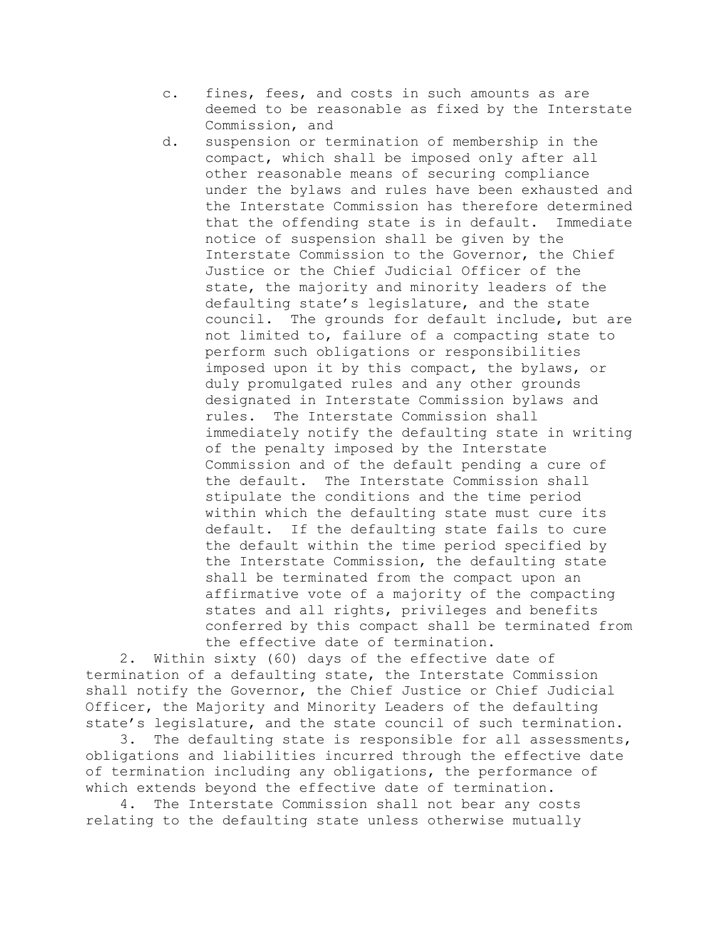- c. fines, fees, and costs in such amounts as are deemed to be reasonable as fixed by the Interstate Commission, and
- d. suspension or termination of membership in the compact, which shall be imposed only after all other reasonable means of securing compliance under the bylaws and rules have been exhausted and the Interstate Commission has therefore determined that the offending state is in default. Immediate notice of suspension shall be given by the Interstate Commission to the Governor, the Chief Justice or the Chief Judicial Officer of the state, the majority and minority leaders of the defaulting state's legislature, and the state council. The grounds for default include, but are not limited to, failure of a compacting state to perform such obligations or responsibilities imposed upon it by this compact, the bylaws, or duly promulgated rules and any other grounds designated in Interstate Commission bylaws and rules. The Interstate Commission shall immediately notify the defaulting state in writing of the penalty imposed by the Interstate Commission and of the default pending a cure of the default. The Interstate Commission shall stipulate the conditions and the time period within which the defaulting state must cure its default. If the defaulting state fails to cure the default within the time period specified by the Interstate Commission, the defaulting state shall be terminated from the compact upon an affirmative vote of a majority of the compacting states and all rights, privileges and benefits conferred by this compact shall be terminated from the effective date of termination.

2. Within sixty (60) days of the effective date of termination of a defaulting state, the Interstate Commission shall notify the Governor, the Chief Justice or Chief Judicial Officer, the Majority and Minority Leaders of the defaulting state's legislature, and the state council of such termination.

3. The defaulting state is responsible for all assessments, obligations and liabilities incurred through the effective date of termination including any obligations, the performance of which extends beyond the effective date of termination.

4. The Interstate Commission shall not bear any costs relating to the defaulting state unless otherwise mutually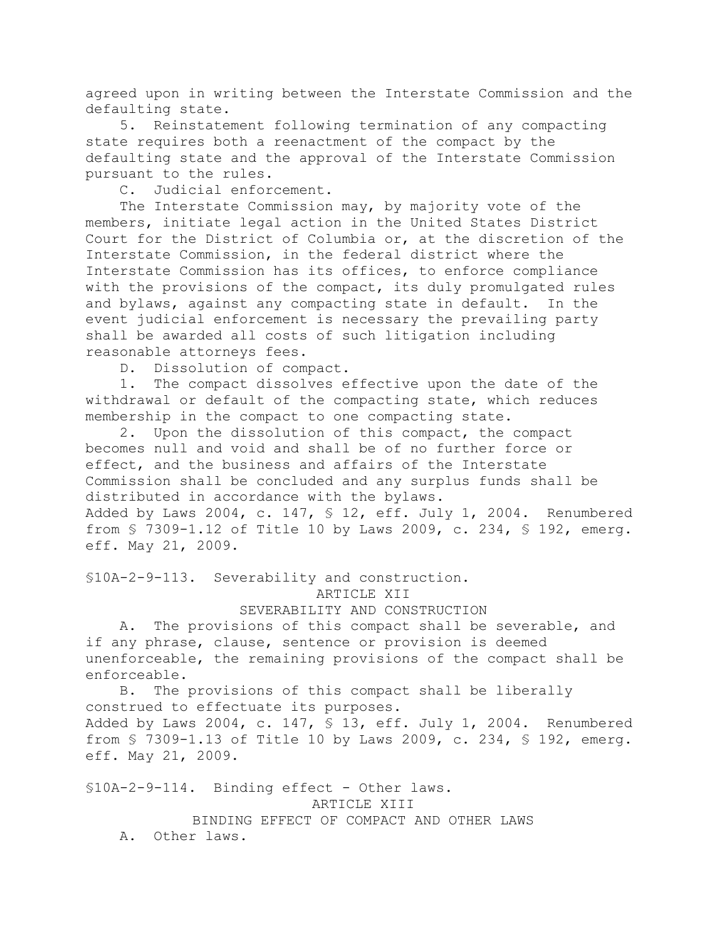agreed upon in writing between the Interstate Commission and the defaulting state.

5. Reinstatement following termination of any compacting state requires both a reenactment of the compact by the defaulting state and the approval of the Interstate Commission pursuant to the rules.

C. Judicial enforcement.

The Interstate Commission may, by majority vote of the members, initiate legal action in the United States District Court for the District of Columbia or, at the discretion of the Interstate Commission, in the federal district where the Interstate Commission has its offices, to enforce compliance with the provisions of the compact, its duly promulgated rules and bylaws, against any compacting state in default. In the event judicial enforcement is necessary the prevailing party shall be awarded all costs of such litigation including reasonable attorneys fees.

D. Dissolution of compact.

1. The compact dissolves effective upon the date of the withdrawal or default of the compacting state, which reduces membership in the compact to one compacting state.

2. Upon the dissolution of this compact, the compact becomes null and void and shall be of no further force or effect, and the business and affairs of the Interstate Commission shall be concluded and any surplus funds shall be distributed in accordance with the bylaws. Added by Laws 2004, c. 147,  $\frac{1}{2}$ , eff. July 1, 2004. Renumbered from § 7309-1.12 of Title 10 by Laws 2009, c. 234, § 192, emerg. eff. May 21, 2009.

§10A-2-9-113. Severability and construction.

ARTICLE XII

SEVERABILITY AND CONSTRUCTION

A. The provisions of this compact shall be severable, and if any phrase, clause, sentence or provision is deemed unenforceable, the remaining provisions of the compact shall be enforceable.

B. The provisions of this compact shall be liberally construed to effectuate its purposes. Added by Laws 2004, c. 147, § 13, eff. July 1, 2004. Renumbered from § 7309-1.13 of Title 10 by Laws 2009, c. 234, § 192, emerg. eff. May 21, 2009.

§10A-2-9-114. Binding effect - Other laws.

ARTICLE XIII

### BINDING EFFECT OF COMPACT AND OTHER LAWS

A. Other laws.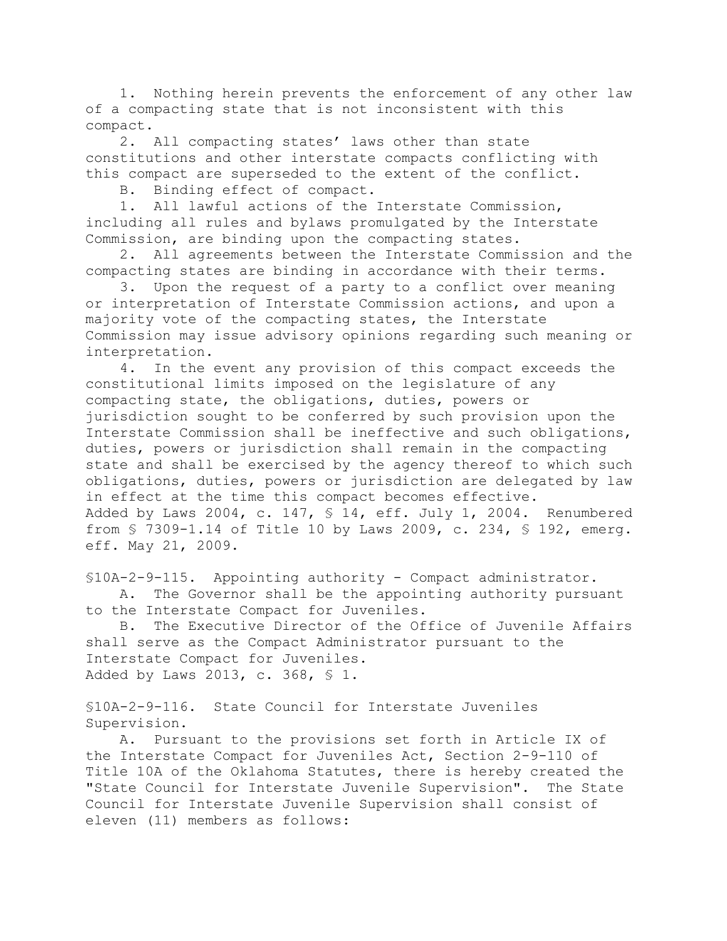1. Nothing herein prevents the enforcement of any other law of a compacting state that is not inconsistent with this compact.

2. All compacting states' laws other than state constitutions and other interstate compacts conflicting with this compact are superseded to the extent of the conflict.

B. Binding effect of compact.

1. All lawful actions of the Interstate Commission, including all rules and bylaws promulgated by the Interstate Commission, are binding upon the compacting states.

2. All agreements between the Interstate Commission and the compacting states are binding in accordance with their terms.

3. Upon the request of a party to a conflict over meaning or interpretation of Interstate Commission actions, and upon a majority vote of the compacting states, the Interstate Commission may issue advisory opinions regarding such meaning or interpretation.

4. In the event any provision of this compact exceeds the constitutional limits imposed on the legislature of any compacting state, the obligations, duties, powers or jurisdiction sought to be conferred by such provision upon the Interstate Commission shall be ineffective and such obligations, duties, powers or jurisdiction shall remain in the compacting state and shall be exercised by the agency thereof to which such obligations, duties, powers or jurisdiction are delegated by law in effect at the time this compact becomes effective. Added by Laws 2004, c. 147,  $$ 14$ , eff. July 1, 2004. Renumbered from § 7309-1.14 of Title 10 by Laws 2009, c. 234, § 192, emerg. eff. May 21, 2009.

§10A-2-9-115. Appointing authority - Compact administrator.

A. The Governor shall be the appointing authority pursuant to the Interstate Compact for Juveniles.

B. The Executive Director of the Office of Juvenile Affairs shall serve as the Compact Administrator pursuant to the Interstate Compact for Juveniles. Added by Laws 2013, c. 368, § 1.

§10A-2-9-116. State Council for Interstate Juveniles Supervision.

A. Pursuant to the provisions set forth in Article IX of the Interstate Compact for Juveniles Act, Section 2-9-110 of Title 10A of the Oklahoma Statutes, there is hereby created the "State Council for Interstate Juvenile Supervision". The State Council for Interstate Juvenile Supervision shall consist of eleven (11) members as follows: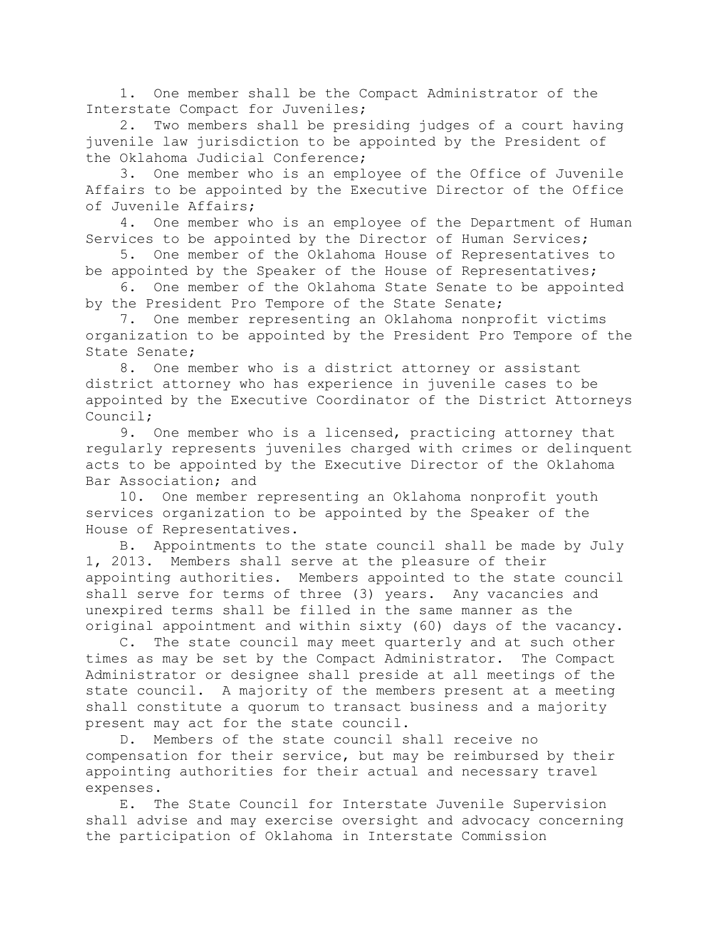1. One member shall be the Compact Administrator of the Interstate Compact for Juveniles;

2. Two members shall be presiding judges of a court having juvenile law jurisdiction to be appointed by the President of the Oklahoma Judicial Conference;

3. One member who is an employee of the Office of Juvenile Affairs to be appointed by the Executive Director of the Office of Juvenile Affairs;

4. One member who is an employee of the Department of Human Services to be appointed by the Director of Human Services;

5. One member of the Oklahoma House of Representatives to be appointed by the Speaker of the House of Representatives;

6. One member of the Oklahoma State Senate to be appointed by the President Pro Tempore of the State Senate;

7. One member representing an Oklahoma nonprofit victims organization to be appointed by the President Pro Tempore of the State Senate;

8. One member who is a district attorney or assistant district attorney who has experience in juvenile cases to be appointed by the Executive Coordinator of the District Attorneys Council;

9. One member who is a licensed, practicing attorney that regularly represents juveniles charged with crimes or delinquent acts to be appointed by the Executive Director of the Oklahoma Bar Association; and

10. One member representing an Oklahoma nonprofit youth services organization to be appointed by the Speaker of the House of Representatives.

B. Appointments to the state council shall be made by July 1, 2013. Members shall serve at the pleasure of their appointing authorities. Members appointed to the state council shall serve for terms of three (3) years. Any vacancies and unexpired terms shall be filled in the same manner as the original appointment and within sixty (60) days of the vacancy.

C. The state council may meet quarterly and at such other times as may be set by the Compact Administrator. The Compact Administrator or designee shall preside at all meetings of the state council. A majority of the members present at a meeting shall constitute a quorum to transact business and a majority present may act for the state council.

D. Members of the state council shall receive no compensation for their service, but may be reimbursed by their appointing authorities for their actual and necessary travel expenses.

E. The State Council for Interstate Juvenile Supervision shall advise and may exercise oversight and advocacy concerning the participation of Oklahoma in Interstate Commission